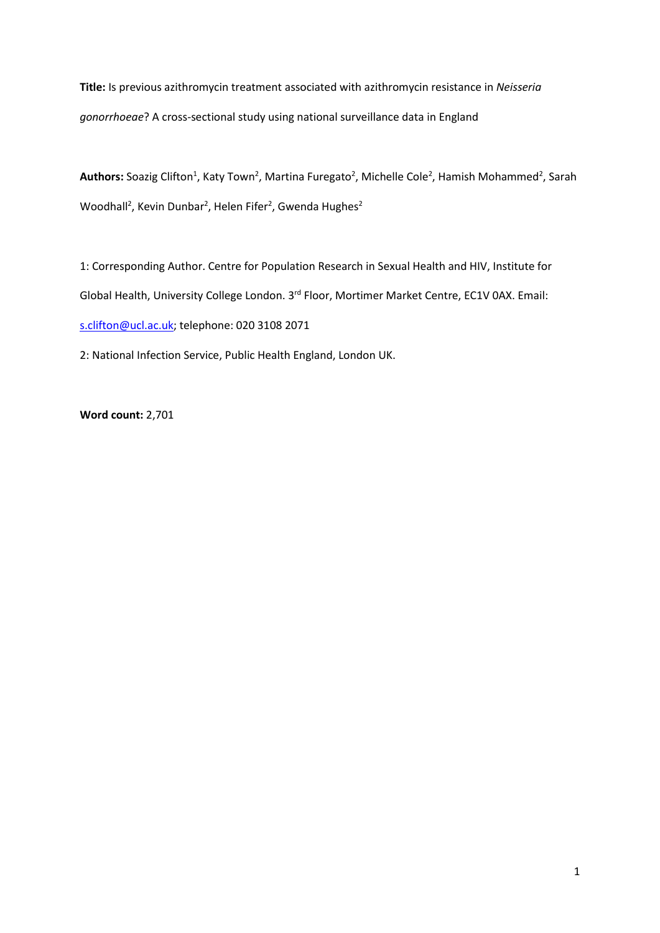**Title:** Is previous azithromycin treatment associated with azithromycin resistance in *Neisseria gonorrhoeae*? A cross-sectional study using national surveillance data in England

Authors: Soazig Clifton<sup>1</sup>, Katy Town<sup>2</sup>, Martina Furegato<sup>2</sup>, Michelle Cole<sup>2</sup>, Hamish Mohammed<sup>2</sup>, Sarah Woodhall<sup>2</sup>, Kevin Dunbar<sup>2</sup>, Helen Fifer<sup>2</sup>, Gwenda Hughes<sup>2</sup>

1: Corresponding Author. Centre for Population Research in Sexual Health and HIV, Institute for Global Health, University College London. 3<sup>rd</sup> Floor, Mortimer Market Centre, EC1V 0AX. Email: [s.clifton@ucl.ac.uk;](mailto:s.clifton@ucl.ac.uk) telephone: 020 3108 2071

2: National Infection Service, Public Health England, London UK.

**Word count:** 2,701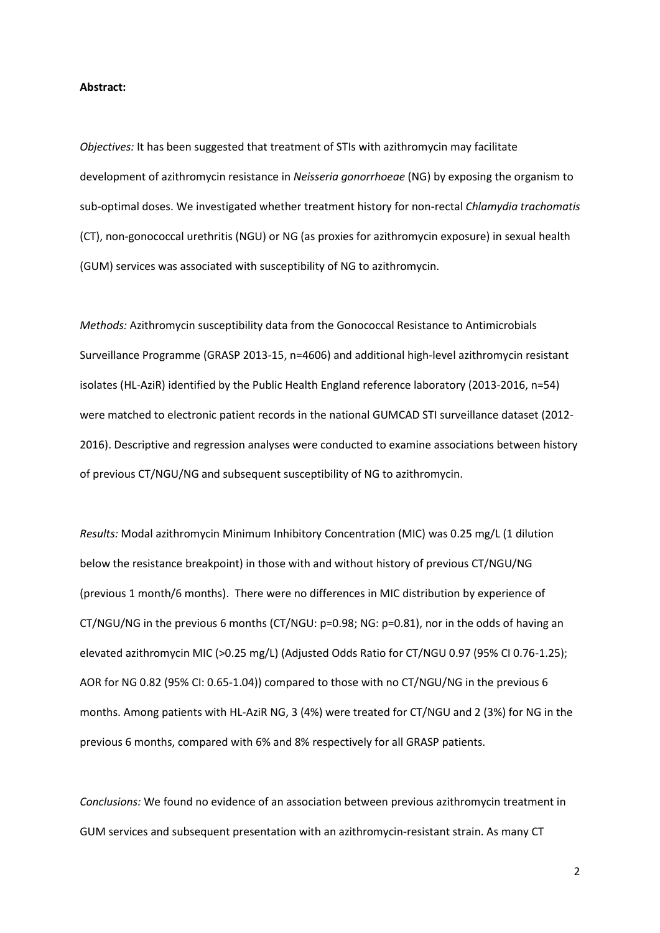#### **Abstract:**

*Objectives:* It has been suggested that treatment of STIs with azithromycin may facilitate development of azithromycin resistance in *Neisseria gonorrhoeae* (NG) by exposing the organism to sub-optimal doses. We investigated whether treatment history for non-rectal *Chlamydia trachomatis* (CT), non-gonococcal urethritis (NGU) or NG (as proxies for azithromycin exposure) in sexual health (GUM) services was associated with susceptibility of NG to azithromycin.

*Methods:* Azithromycin susceptibility data from the Gonococcal Resistance to Antimicrobials Surveillance Programme (GRASP 2013-15, n=4606) and additional high-level azithromycin resistant isolates (HL-AziR) identified by the Public Health England reference laboratory (2013-2016, n=54) were matched to electronic patient records in the national GUMCAD STI surveillance dataset (2012- 2016). Descriptive and regression analyses were conducted to examine associations between history of previous CT/NGU/NG and subsequent susceptibility of NG to azithromycin.

*Results:* Modal azithromycin Minimum Inhibitory Concentration (MIC) was 0.25 mg/L (1 dilution below the resistance breakpoint) in those with and without history of previous CT/NGU/NG (previous 1 month/6 months). There were no differences in MIC distribution by experience of CT/NGU/NG in the previous 6 months (CT/NGU: p=0.98; NG: p=0.81), nor in the odds of having an elevated azithromycin MIC (>0.25 mg/L) (Adjusted Odds Ratio for CT/NGU 0.97 (95% CI 0.76-1.25); AOR for NG 0.82 (95% CI: 0.65-1.04)) compared to those with no CT/NGU/NG in the previous 6 months. Among patients with HL-AziR NG, 3 (4%) were treated for CT/NGU and 2 (3%) for NG in the previous 6 months, compared with 6% and 8% respectively for all GRASP patients.

*Conclusions:* We found no evidence of an association between previous azithromycin treatment in GUM services and subsequent presentation with an azithromycin-resistant strain. As many CT

2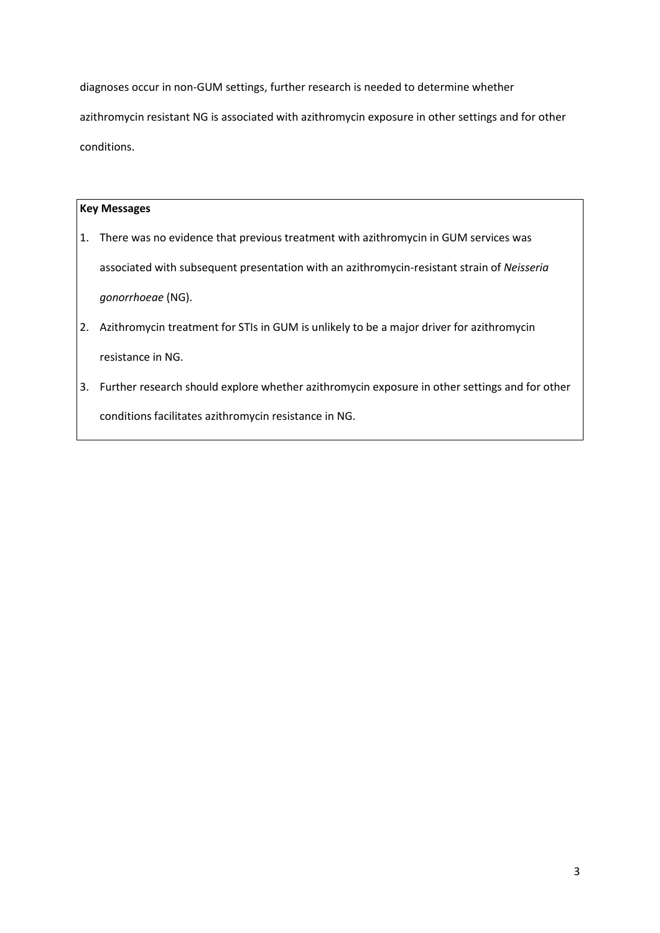diagnoses occur in non-GUM settings, further research is needed to determine whether azithromycin resistant NG is associated with azithromycin exposure in other settings and for other conditions.

# **Key Messages**

- 1. There was no evidence that previous treatment with azithromycin in GUM services was associated with subsequent presentation with an azithromycin-resistant strain of *Neisseria gonorrhoeae* (NG).
- 2. Azithromycin treatment for STIs in GUM is unlikely to be a major driver for azithromycin resistance in NG.
- 3. Further research should explore whether azithromycin exposure in other settings and for other conditions facilitates azithromycin resistance in NG.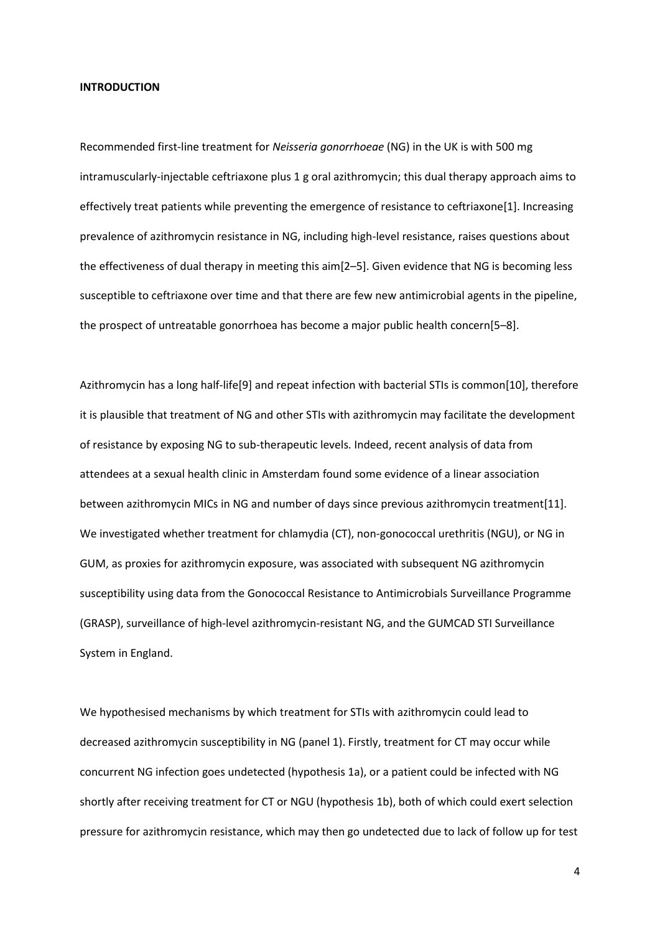#### **INTRODUCTION**

Recommended first-line treatment for *Neisseria gonorrhoeae* (NG) in the UK is with 500 mg intramuscularly-injectable ceftriaxone plus 1 g oral azithromycin; this dual therapy approach aims to effectively treat patients while preventing the emergence of resistance to ceftriaxone[1]. Increasing prevalence of azithromycin resistance in NG, including high-level resistance, raises questions about the effectiveness of dual therapy in meeting this aim[2–5]. Given evidence that NG is becoming less susceptible to ceftriaxone over time and that there are few new antimicrobial agents in the pipeline, the prospect of untreatable gonorrhoea has become a major public health concern[5–8].

Azithromycin has a long half-life[9] and repeat infection with bacterial STIs is common[10], therefore it is plausible that treatment of NG and other STIs with azithromycin may facilitate the development of resistance by exposing NG to sub-therapeutic levels. Indeed, recent analysis of data from attendees at a sexual health clinic in Amsterdam found some evidence of a linear association between azithromycin MICs in NG and number of days since previous azithromycin treatment[11]. We investigated whether treatment for chlamydia (CT), non-gonococcal urethritis (NGU), or NG in GUM, as proxies for azithromycin exposure, was associated with subsequent NG azithromycin susceptibility using data from the Gonococcal Resistance to Antimicrobials Surveillance Programme (GRASP), surveillance of high-level azithromycin-resistant NG, and the GUMCAD STI Surveillance System in England.

We hypothesised mechanisms by which treatment for STIs with azithromycin could lead to decreased azithromycin susceptibility in NG (panel 1). Firstly, treatment for CT may occur while concurrent NG infection goes undetected (hypothesis 1a), or a patient could be infected with NG shortly after receiving treatment for CT or NGU (hypothesis 1b), both of which could exert selection pressure for azithromycin resistance, which may then go undetected due to lack of follow up for test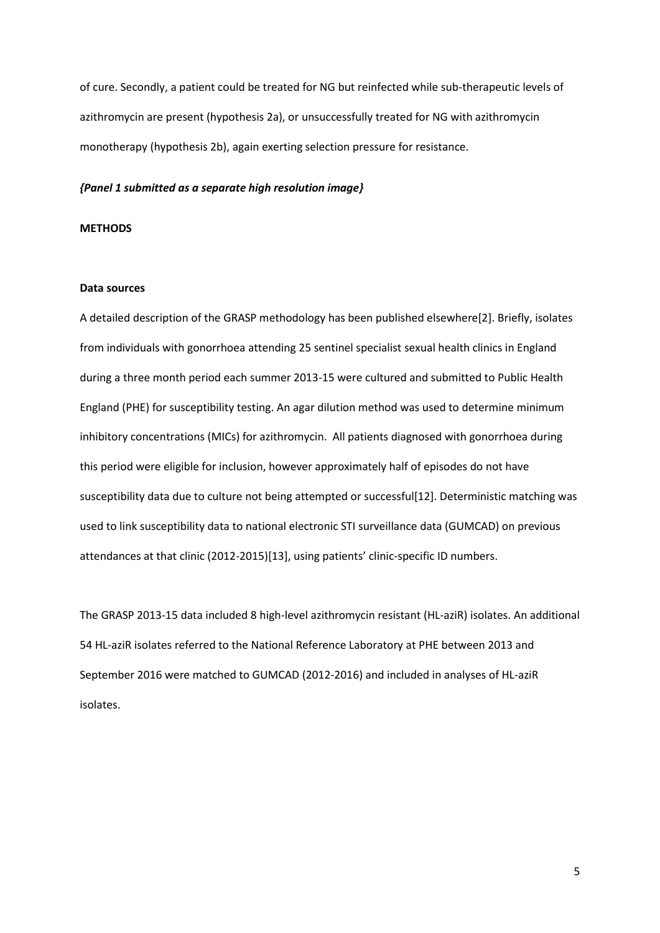of cure. Secondly, a patient could be treated for NG but reinfected while sub-therapeutic levels of azithromycin are present (hypothesis 2a), or unsuccessfully treated for NG with azithromycin monotherapy (hypothesis 2b), again exerting selection pressure for resistance.

# *{Panel 1 submitted as a separate high resolution image}*

# **METHODS**

## **Data sources**

A detailed description of the GRASP methodology has been published elsewhere[2]. Briefly, isolates from individuals with gonorrhoea attending 25 sentinel specialist sexual health clinics in England during a three month period each summer 2013-15 were cultured and submitted to Public Health England (PHE) for susceptibility testing. An agar dilution method was used to determine minimum inhibitory concentrations (MICs) for azithromycin. All patients diagnosed with gonorrhoea during this period were eligible for inclusion, however approximately half of episodes do not have susceptibility data due to culture not being attempted or successful[12]. Deterministic matching was used to link susceptibility data to national electronic STI surveillance data (GUMCAD) on previous attendances at that clinic (2012-2015)[13], using patients' clinic-specific ID numbers.

The GRASP 2013-15 data included 8 high-level azithromycin resistant (HL-aziR) isolates. An additional 54 HL-aziR isolates referred to the National Reference Laboratory at PHE between 2013 and September 2016 were matched to GUMCAD (2012-2016) and included in analyses of HL-aziR isolates.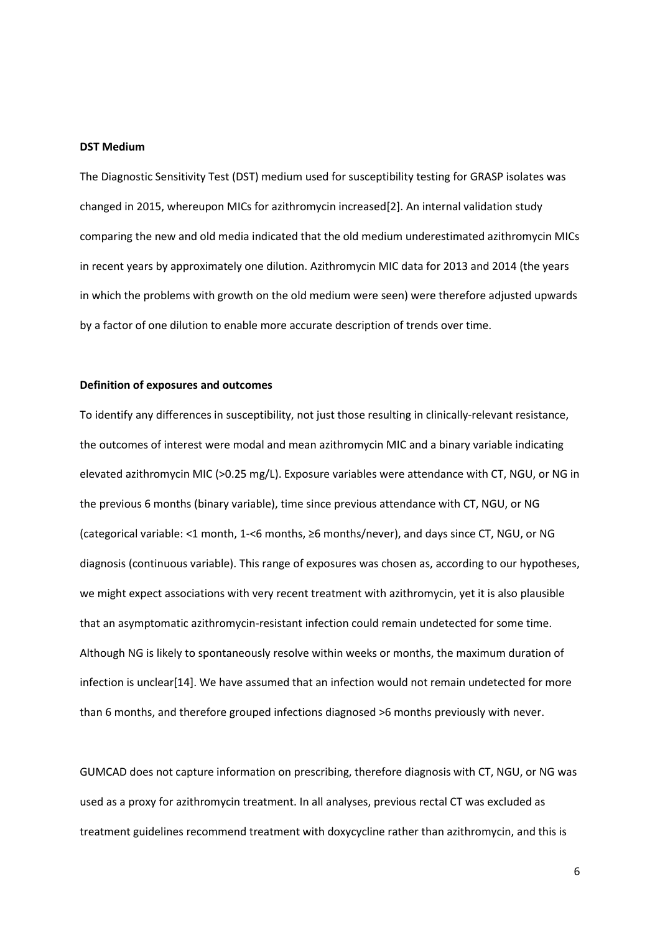#### **DST Medium**

The Diagnostic Sensitivity Test (DST) medium used for susceptibility testing for GRASP isolates was changed in 2015, whereupon MICs for azithromycin increased[2]. An internal validation study comparing the new and old media indicated that the old medium underestimated azithromycin MICs in recent years by approximately one dilution. Azithromycin MIC data for 2013 and 2014 (the years in which the problems with growth on the old medium were seen) were therefore adjusted upwards by a factor of one dilution to enable more accurate description of trends over time.

### **Definition of exposures and outcomes**

To identify any differences in susceptibility, not just those resulting in clinically-relevant resistance, the outcomes of interest were modal and mean azithromycin MIC and a binary variable indicating elevated azithromycin MIC (>0.25 mg/L). Exposure variables were attendance with CT, NGU, or NG in the previous 6 months (binary variable), time since previous attendance with CT, NGU, or NG (categorical variable: <1 month, 1-<6 months, ≥6 months/never), and days since CT, NGU, or NG diagnosis (continuous variable). This range of exposures was chosen as, according to our hypotheses, we might expect associations with very recent treatment with azithromycin, yet it is also plausible that an asymptomatic azithromycin-resistant infection could remain undetected for some time. Although NG is likely to spontaneously resolve within weeks or months, the maximum duration of infection is unclear[14]. We have assumed that an infection would not remain undetected for more than 6 months, and therefore grouped infections diagnosed >6 months previously with never.

GUMCAD does not capture information on prescribing, therefore diagnosis with CT, NGU, or NG was used as a proxy for azithromycin treatment. In all analyses, previous rectal CT was excluded as treatment guidelines recommend treatment with doxycycline rather than azithromycin, and this is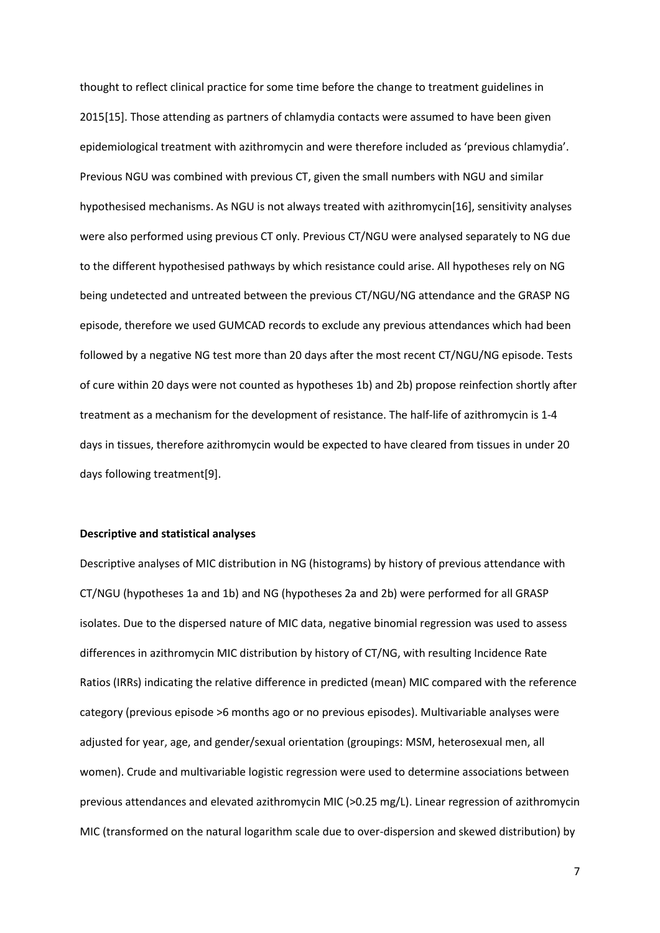thought to reflect clinical practice for some time before the change to treatment guidelines in 2015[15]. Those attending as partners of chlamydia contacts were assumed to have been given epidemiological treatment with azithromycin and were therefore included as 'previous chlamydia'. Previous NGU was combined with previous CT, given the small numbers with NGU and similar hypothesised mechanisms. As NGU is not always treated with azithromycin[16], sensitivity analyses were also performed using previous CT only. Previous CT/NGU were analysed separately to NG due to the different hypothesised pathways by which resistance could arise. All hypotheses rely on NG being undetected and untreated between the previous CT/NGU/NG attendance and the GRASP NG episode, therefore we used GUMCAD records to exclude any previous attendances which had been followed by a negative NG test more than 20 days after the most recent CT/NGU/NG episode. Tests of cure within 20 days were not counted as hypotheses 1b) and 2b) propose reinfection shortly after treatment as a mechanism for the development of resistance. The half-life of azithromycin is 1-4 days in tissues, therefore azithromycin would be expected to have cleared from tissues in under 20 days following treatment[9].

#### **Descriptive and statistical analyses**

Descriptive analyses of MIC distribution in NG (histograms) by history of previous attendance with CT/NGU (hypotheses 1a and 1b) and NG (hypotheses 2a and 2b) were performed for all GRASP isolates. Due to the dispersed nature of MIC data, negative binomial regression was used to assess differences in azithromycin MIC distribution by history of CT/NG, with resulting Incidence Rate Ratios (IRRs) indicating the relative difference in predicted (mean) MIC compared with the reference category (previous episode >6 months ago or no previous episodes). Multivariable analyses were adjusted for year, age, and gender/sexual orientation (groupings: MSM, heterosexual men, all women). Crude and multivariable logistic regression were used to determine associations between previous attendances and elevated azithromycin MIC (>0.25 mg/L). Linear regression of azithromycin MIC (transformed on the natural logarithm scale due to over-dispersion and skewed distribution) by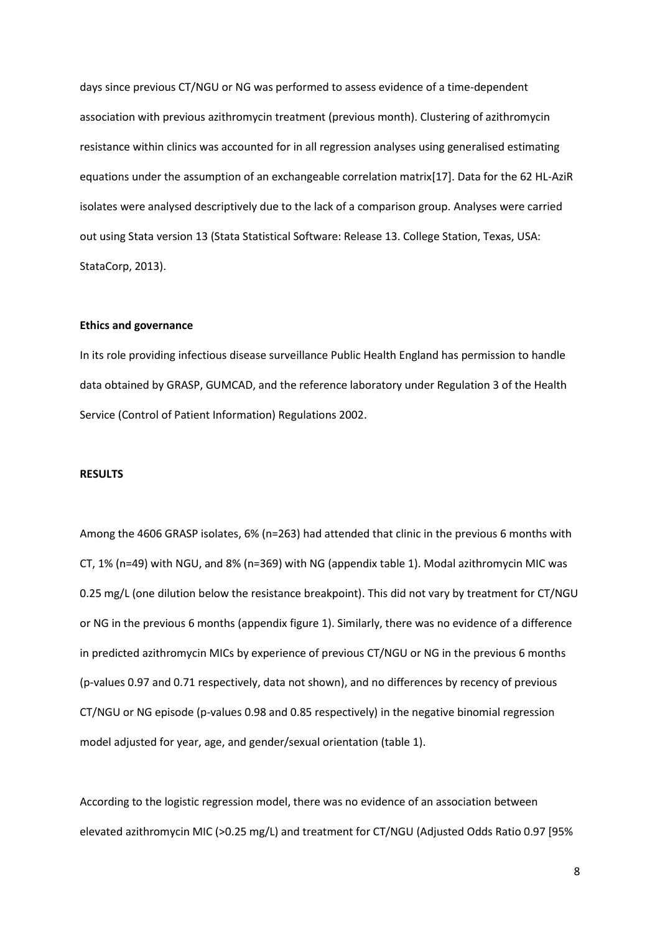days since previous CT/NGU or NG was performed to assess evidence of a time-dependent association with previous azithromycin treatment (previous month). Clustering of azithromycin resistance within clinics was accounted for in all regression analyses using generalised estimating equations under the assumption of an exchangeable correlation matrix[17]. Data for the 62 HL-AziR isolates were analysed descriptively due to the lack of a comparison group. Analyses were carried out using Stata version 13 (Stata Statistical Software: Release 13. College Station, Texas, USA: StataCorp, 2013).

### **Ethics and governance**

In its role providing infectious disease surveillance Public Health England has permission to handle data obtained by GRASP, GUMCAD, and the reference laboratory under Regulation 3 of the Health Service (Control of Patient Information) Regulations 2002.

#### **RESULTS**

Among the 4606 GRASP isolates, 6% (n=263) had attended that clinic in the previous 6 months with CT, 1% (n=49) with NGU, and 8% (n=369) with NG (appendix table 1). Modal azithromycin MIC was 0.25 mg/L (one dilution below the resistance breakpoint). This did not vary by treatment for CT/NGU or NG in the previous 6 months (appendix figure 1). Similarly, there was no evidence of a difference in predicted azithromycin MICs by experience of previous CT/NGU or NG in the previous 6 months (p-values 0.97 and 0.71 respectively, data not shown), and no differences by recency of previous CT/NGU or NG episode (p-values 0.98 and 0.85 respectively) in the negative binomial regression model adjusted for year, age, and gender/sexual orientation (table 1).

According to the logistic regression model, there was no evidence of an association between elevated azithromycin MIC (>0.25 mg/L) and treatment for CT/NGU (Adjusted Odds Ratio 0.97 [95%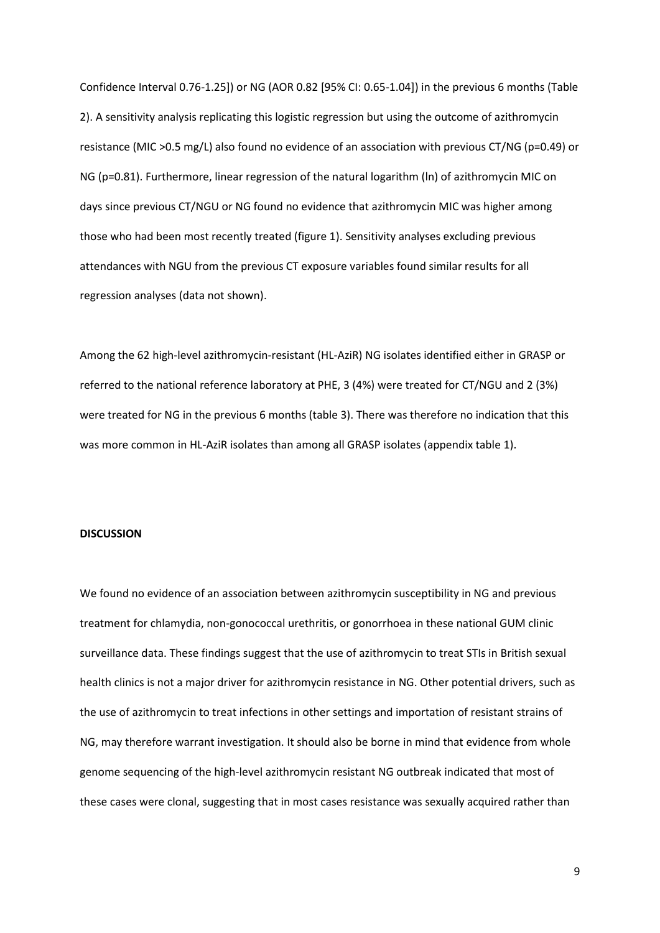Confidence Interval 0.76-1.25]) or NG (AOR 0.82 [95% CI: 0.65-1.04]) in the previous 6 months (Table 2). A sensitivity analysis replicating this logistic regression but using the outcome of azithromycin resistance (MIC >0.5 mg/L) also found no evidence of an association with previous CT/NG (p=0.49) or NG (p=0.81). Furthermore, linear regression of the natural logarithm (ln) of azithromycin MIC on days since previous CT/NGU or NG found no evidence that azithromycin MIC was higher among those who had been most recently treated (figure 1). Sensitivity analyses excluding previous attendances with NGU from the previous CT exposure variables found similar results for all regression analyses (data not shown).

Among the 62 high-level azithromycin-resistant (HL-AziR) NG isolates identified either in GRASP or referred to the national reference laboratory at PHE, 3 (4%) were treated for CT/NGU and 2 (3%) were treated for NG in the previous 6 months (table 3). There was therefore no indication that this was more common in HL-AziR isolates than among all GRASP isolates (appendix table 1).

## **DISCUSSION**

We found no evidence of an association between azithromycin susceptibility in NG and previous treatment for chlamydia, non-gonococcal urethritis, or gonorrhoea in these national GUM clinic surveillance data. These findings suggest that the use of azithromycin to treat STIs in British sexual health clinics is not a major driver for azithromycin resistance in NG. Other potential drivers, such as the use of azithromycin to treat infections in other settings and importation of resistant strains of NG, may therefore warrant investigation. It should also be borne in mind that evidence from whole genome sequencing of the high-level azithromycin resistant NG outbreak indicated that most of these cases were clonal, suggesting that in most cases resistance was sexually acquired rather than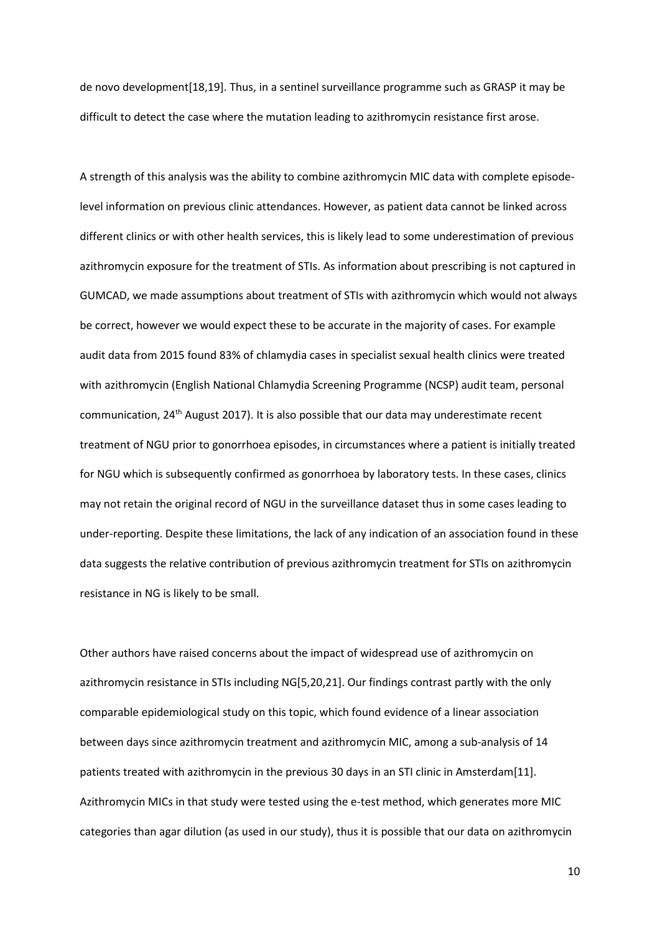de novo development[18,19]. Thus, in a sentinel surveillance programme such as GRASP it may be difficult to detect the case where the mutation leading to azithromycin resistance first arose.

A strength of this analysis was the ability to combine azithromycin MIC data with complete episodelevel information on previous clinic attendances. However, as patient data cannot be linked across different clinics or with other health services, this is likely lead to some underestimation of previous azithromycin exposure for the treatment of STIs. As information about prescribing is not captured in GUMCAD, we made assumptions about treatment of STIs with azithromycin which would not always be correct, however we would expect these to be accurate in the majority of cases. For example audit data from 2015 found 83% of chlamydia cases in specialist sexual health clinics were treated with azithromycin (English National Chlamydia Screening Programme (NCSP) audit team, personal communication, 24th August 2017). It is also possible that our data may underestimate recent treatment of NGU prior to gonorrhoea episodes, in circumstances where a patient is initially treated for NGU which is subsequently confirmed as gonorrhoea by laboratory tests. In these cases, clinics may not retain the original record of NGU in the surveillance dataset thus in some cases leading to under-reporting. Despite these limitations, the lack of any indication of an association found in these data suggests the relative contribution of previous azithromycin treatment for STIs on azithromycin resistance in NG is likely to be small.

Other authors have raised concerns about the impact of widespread use of azithromycin on azithromycin resistance in STIs including NG[5,20,21]. Our findings contrast partly with the only comparable epidemiological study on this topic, which found evidence of a linear association between days since azithromycin treatment and azithromycin MIC, among a sub-analysis of 14 patients treated with azithromycin in the previous 30 days in an STI clinic in Amsterdam[11]. Azithromycin MICs in that study were tested using the e-test method, which generates more MIC categories than agar dilution (as used in our study), thus it is possible that our data on azithromycin

10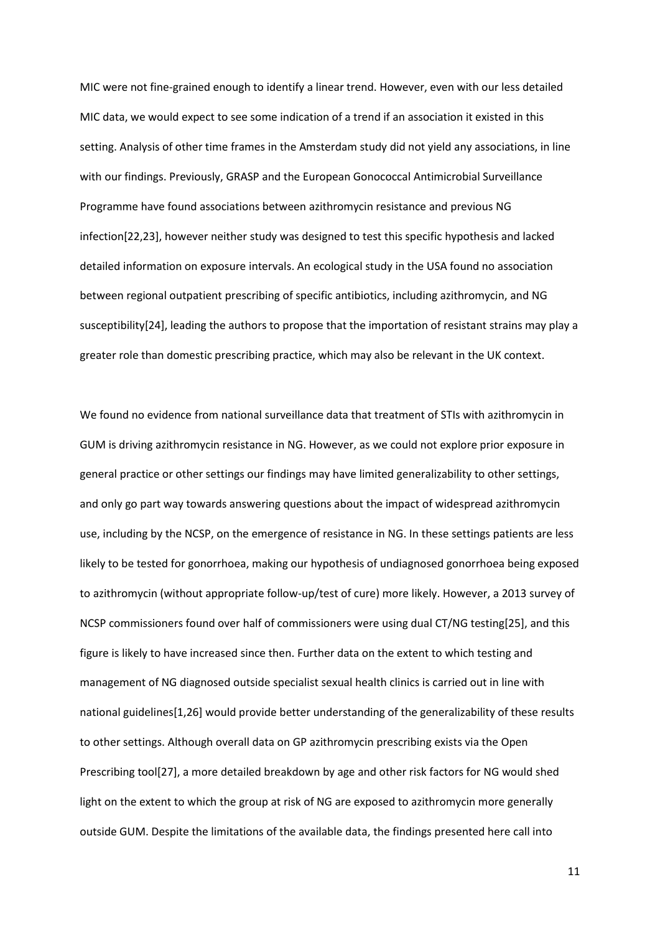MIC were not fine-grained enough to identify a linear trend. However, even with our less detailed MIC data, we would expect to see some indication of a trend if an association it existed in this setting. Analysis of other time frames in the Amsterdam study did not yield any associations, in line with our findings. Previously, GRASP and the European Gonococcal Antimicrobial Surveillance Programme have found associations between azithromycin resistance and previous NG infection[22,23], however neither study was designed to test this specific hypothesis and lacked detailed information on exposure intervals. An ecological study in the USA found no association between regional outpatient prescribing of specific antibiotics, including azithromycin, and NG susceptibility[24], leading the authors to propose that the importation of resistant strains may play a greater role than domestic prescribing practice, which may also be relevant in the UK context.

We found no evidence from national surveillance data that treatment of STIs with azithromycin in GUM is driving azithromycin resistance in NG. However, as we could not explore prior exposure in general practice or other settings our findings may have limited generalizability to other settings, and only go part way towards answering questions about the impact of widespread azithromycin use, including by the NCSP, on the emergence of resistance in NG. In these settings patients are less likely to be tested for gonorrhoea, making our hypothesis of undiagnosed gonorrhoea being exposed to azithromycin (without appropriate follow-up/test of cure) more likely. However, a 2013 survey of NCSP commissioners found over half of commissioners were using dual CT/NG testing[25], and this figure is likely to have increased since then. Further data on the extent to which testing and management of NG diagnosed outside specialist sexual health clinics is carried out in line with national guidelines[1,26] would provide better understanding of the generalizability of these results to other settings. Although overall data on GP azithromycin prescribing exists via the Open Prescribing tool[27], a more detailed breakdown by age and other risk factors for NG would shed light on the extent to which the group at risk of NG are exposed to azithromycin more generally outside GUM. Despite the limitations of the available data, the findings presented here call into

11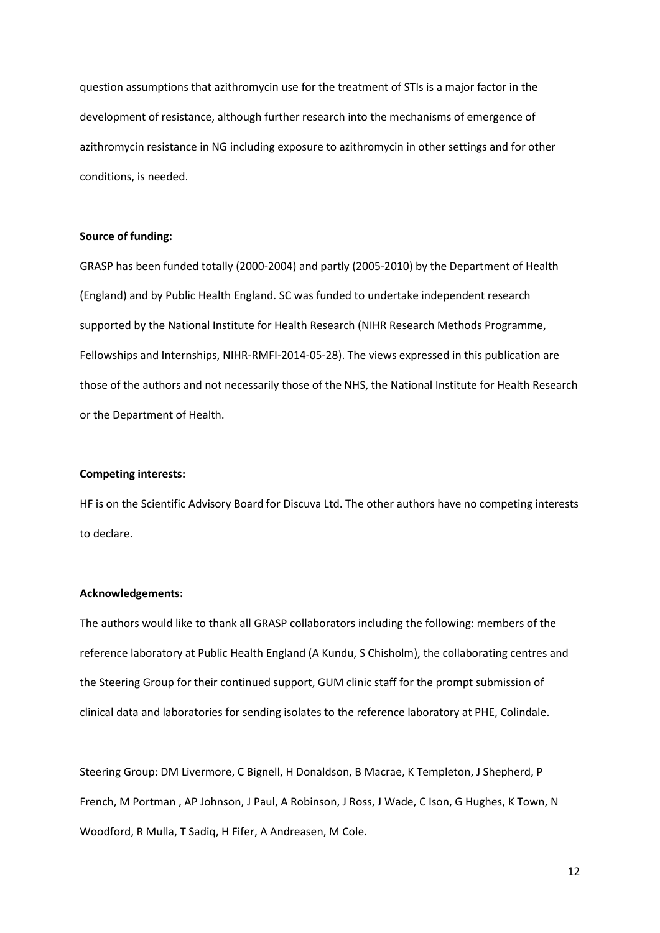question assumptions that azithromycin use for the treatment of STIs is a major factor in the development of resistance, although further research into the mechanisms of emergence of azithromycin resistance in NG including exposure to azithromycin in other settings and for other conditions, is needed.

## **Source of funding:**

GRASP has been funded totally (2000-2004) and partly (2005-2010) by the Department of Health (England) and by Public Health England. SC was funded to undertake independent research supported by the National Institute for Health Research (NIHR Research Methods Programme, Fellowships and Internships, NIHR-RMFI-2014-05-28). The views expressed in this publication are those of the authors and not necessarily those of the NHS, the National Institute for Health Research or the Department of Health.

#### **Competing interests:**

HF is on the Scientific Advisory Board for Discuva Ltd. The other authors have no competing interests to declare.

## **Acknowledgements:**

The authors would like to thank all GRASP collaborators including the following: members of the reference laboratory at Public Health England (A Kundu, S Chisholm), the collaborating centres and the Steering Group for their continued support, GUM clinic staff for the prompt submission of clinical data and laboratories for sending isolates to the reference laboratory at PHE, Colindale.

Steering Group: DM Livermore, C Bignell, H Donaldson, B Macrae, K Templeton, J Shepherd, P French, M Portman , AP Johnson, J Paul, A Robinson, J Ross, J Wade, C Ison, G Hughes, K Town, N Woodford, R Mulla, T Sadiq, H Fifer, A Andreasen, M Cole.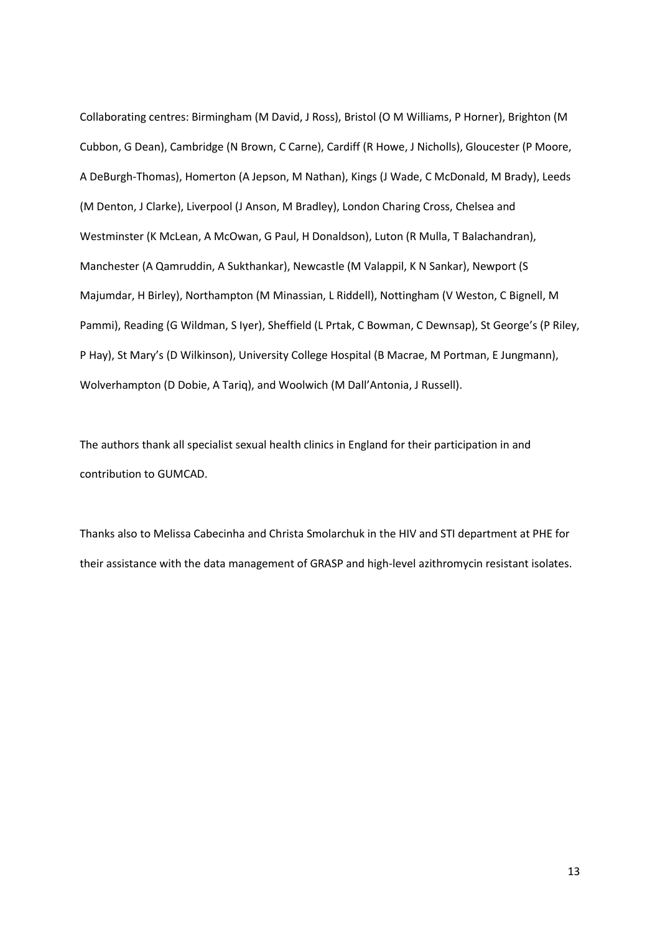Collaborating centres: Birmingham (M David, J Ross), Bristol (O M Williams, P Horner), Brighton (M Cubbon, G Dean), Cambridge (N Brown, C Carne), Cardiff (R Howe, J Nicholls), Gloucester (P Moore, A DeBurgh-Thomas), Homerton (A Jepson, M Nathan), Kings (J Wade, C McDonald, M Brady), Leeds (M Denton, J Clarke), Liverpool (J Anson, M Bradley), London Charing Cross, Chelsea and Westminster (K McLean, A McOwan, G Paul, H Donaldson), Luton (R Mulla, T Balachandran), Manchester (A Qamruddin, A Sukthankar), Newcastle (M Valappil, K N Sankar), Newport (S Majumdar, H Birley), Northampton (M Minassian, L Riddell), Nottingham (V Weston, C Bignell, M Pammi), Reading (G Wildman, S Iyer), Sheffield (L Prtak, C Bowman, C Dewnsap), St George's (P Riley, P Hay), St Mary's (D Wilkinson), University College Hospital (B Macrae, M Portman, E Jungmann), Wolverhampton (D Dobie, A Tariq), and Woolwich (M Dall'Antonia, J Russell).

The authors thank all specialist sexual health clinics in England for their participation in and contribution to GUMCAD.

Thanks also to Melissa Cabecinha and Christa Smolarchuk in the HIV and STI department at PHE for their assistance with the data management of GRASP and high-level azithromycin resistant isolates.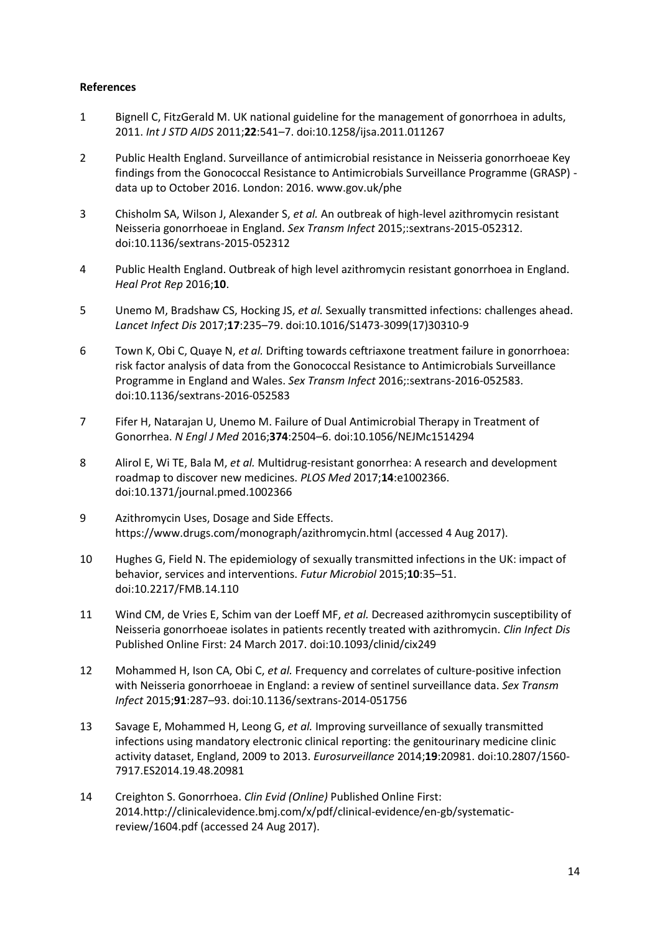# **References**

- 1 Bignell C, FitzGerald M. UK national guideline for the management of gonorrhoea in adults, 2011. *Int J STD AIDS* 2011;**22**:541–7. doi:10.1258/ijsa.2011.011267
- 2 Public Health England. Surveillance of antimicrobial resistance in Neisseria gonorrhoeae Key findings from the Gonococcal Resistance to Antimicrobials Surveillance Programme (GRASP) data up to October 2016. London: 2016. www.gov.uk/phe
- 3 Chisholm SA, Wilson J, Alexander S, *et al.* An outbreak of high-level azithromycin resistant Neisseria gonorrhoeae in England. *Sex Transm Infect* 2015;:sextrans-2015-052312. doi:10.1136/sextrans-2015-052312
- 4 Public Health England. Outbreak of high level azithromycin resistant gonorrhoea in England. *Heal Prot Rep* 2016;**10**.
- 5 Unemo M, Bradshaw CS, Hocking JS, *et al.* Sexually transmitted infections: challenges ahead. *Lancet Infect Dis* 2017;**17**:235–79. doi:10.1016/S1473-3099(17)30310-9
- 6 Town K, Obi C, Quaye N, *et al.* Drifting towards ceftriaxone treatment failure in gonorrhoea: risk factor analysis of data from the Gonococcal Resistance to Antimicrobials Surveillance Programme in England and Wales. *Sex Transm Infect* 2016;:sextrans-2016-052583. doi:10.1136/sextrans-2016-052583
- 7 Fifer H, Natarajan U, Unemo M. Failure of Dual Antimicrobial Therapy in Treatment of Gonorrhea. *N Engl J Med* 2016;**374**:2504–6. doi:10.1056/NEJMc1514294
- 8 Alirol E, Wi TE, Bala M, *et al.* Multidrug-resistant gonorrhea: A research and development roadmap to discover new medicines. *PLOS Med* 2017;**14**:e1002366. doi:10.1371/journal.pmed.1002366
- 9 Azithromycin Uses, Dosage and Side Effects. https://www.drugs.com/monograph/azithromycin.html (accessed 4 Aug 2017).
- 10 Hughes G, Field N. The epidemiology of sexually transmitted infections in the UK: impact of behavior, services and interventions. *Futur Microbiol* 2015;**10**:35–51. doi:10.2217/FMB.14.110
- 11 Wind CM, de Vries E, Schim van der Loeff MF, *et al.* Decreased azithromycin susceptibility of Neisseria gonorrhoeae isolates in patients recently treated with azithromycin. *Clin Infect Dis* Published Online First: 24 March 2017. doi:10.1093/clinid/cix249
- 12 Mohammed H, Ison CA, Obi C, *et al.* Frequency and correlates of culture-positive infection with Neisseria gonorrhoeae in England: a review of sentinel surveillance data. *Sex Transm Infect* 2015;**91**:287–93. doi:10.1136/sextrans-2014-051756
- 13 Savage E, Mohammed H, Leong G, *et al.* Improving surveillance of sexually transmitted infections using mandatory electronic clinical reporting: the genitourinary medicine clinic activity dataset, England, 2009 to 2013. *Eurosurveillance* 2014;**19**:20981. doi:10.2807/1560- 7917.ES2014.19.48.20981
- 14 Creighton S. Gonorrhoea. *Clin Evid (Online)* Published Online First: 2014.http://clinicalevidence.bmj.com/x/pdf/clinical-evidence/en-gb/systematicreview/1604.pdf (accessed 24 Aug 2017).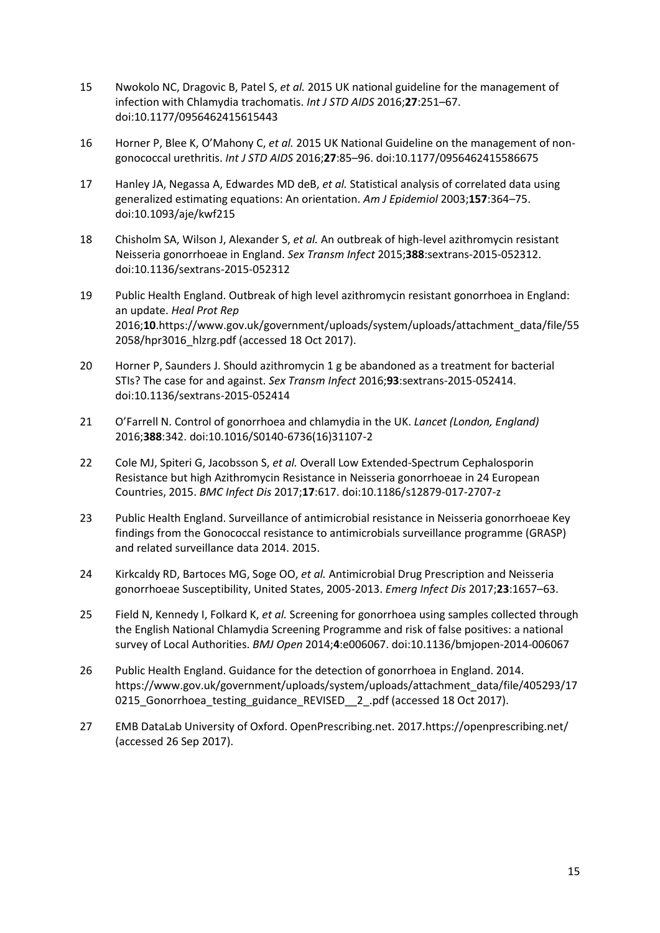- 15 Nwokolo NC, Dragovic B, Patel S, *et al.* 2015 UK national guideline for the management of infection with Chlamydia trachomatis. *Int J STD AIDS* 2016;**27**:251–67. doi:10.1177/0956462415615443
- 16 Horner P, Blee K, O'Mahony C, *et al.* 2015 UK National Guideline on the management of nongonococcal urethritis. *Int J STD AIDS* 2016;**27**:85–96. doi:10.1177/0956462415586675
- 17 Hanley JA, Negassa A, Edwardes MD deB, *et al.* Statistical analysis of correlated data using generalized estimating equations: An orientation. *Am J Epidemiol* 2003;**157**:364–75. doi:10.1093/aje/kwf215
- 18 Chisholm SA, Wilson J, Alexander S, *et al.* An outbreak of high-level azithromycin resistant Neisseria gonorrhoeae in England. *Sex Transm Infect* 2015;**388**:sextrans-2015-052312. doi:10.1136/sextrans-2015-052312
- 19 Public Health England. Outbreak of high level azithromycin resistant gonorrhoea in England: an update. *Heal Prot Rep* 2016;**10**.https://www.gov.uk/government/uploads/system/uploads/attachment\_data/file/55 2058/hpr3016\_hlzrg.pdf (accessed 18 Oct 2017).
- 20 Horner P, Saunders J. Should azithromycin 1 g be abandoned as a treatment for bacterial STIs? The case for and against. *Sex Transm Infect* 2016;**93**:sextrans-2015-052414. doi:10.1136/sextrans-2015-052414
- 21 O'Farrell N. Control of gonorrhoea and chlamydia in the UK. *Lancet (London, England)* 2016;**388**:342. doi:10.1016/S0140-6736(16)31107-2
- 22 Cole MJ, Spiteri G, Jacobsson S, *et al.* Overall Low Extended-Spectrum Cephalosporin Resistance but high Azithromycin Resistance in Neisseria gonorrhoeae in 24 European Countries, 2015. *BMC Infect Dis* 2017;**17**:617. doi:10.1186/s12879-017-2707-z
- 23 Public Health England. Surveillance of antimicrobial resistance in Neisseria gonorrhoeae Key findings from the Gonococcal resistance to antimicrobials surveillance programme (GRASP) and related surveillance data 2014. 2015.
- 24 Kirkcaldy RD, Bartoces MG, Soge OO, *et al.* Antimicrobial Drug Prescription and Neisseria gonorrhoeae Susceptibility, United States, 2005-2013. *Emerg Infect Dis* 2017;**23**:1657–63.
- 25 Field N, Kennedy I, Folkard K, *et al.* Screening for gonorrhoea using samples collected through the English National Chlamydia Screening Programme and risk of false positives: a national survey of Local Authorities. *BMJ Open* 2014;**4**:e006067. doi:10.1136/bmjopen-2014-006067
- 26 Public Health England. Guidance for the detection of gonorrhoea in England. 2014. https://www.gov.uk/government/uploads/system/uploads/attachment\_data/file/405293/17 0215 Gonorrhoea testing guidance REVISED 2 .pdf (accessed 18 Oct 2017).
- 27 EMB DataLab University of Oxford. OpenPrescribing.net. 2017.https://openprescribing.net/ (accessed 26 Sep 2017).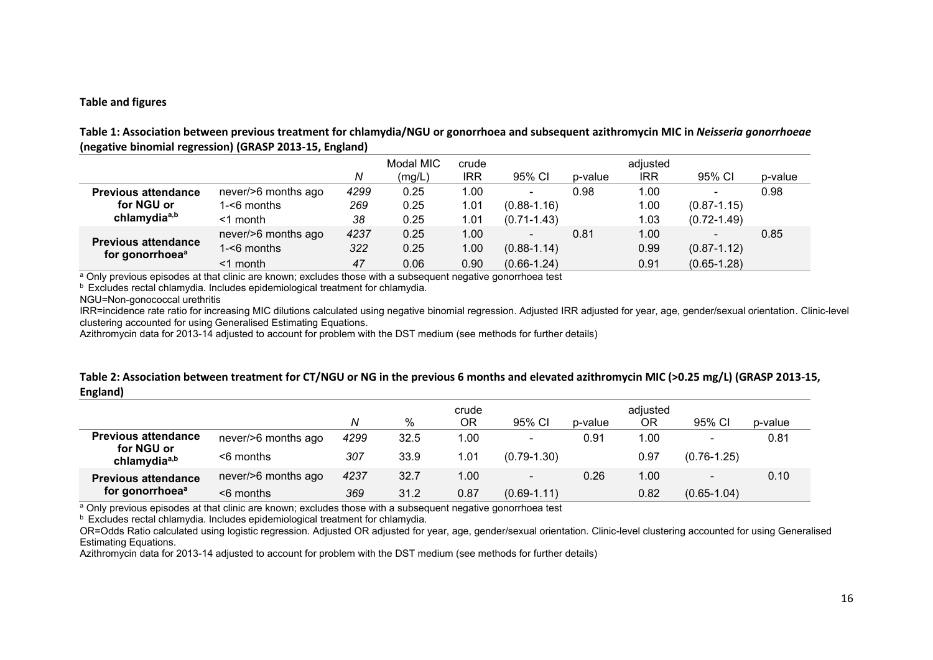# **Table and figures**

# **Table 1: Association between previous treatment for chlamydia/NGU or gonorrhoea and subsequent azithromycin MIC in** *Neisseria gonorrhoeae* **(negative binomial regression) (GRASP 2013-15, England)**

|                                                                      |                     | N    | Modal MIC<br>(mg/L) | crude<br><b>IRR</b> | 95% CI                   | p-value | adjusted<br><b>IRR</b> | 95% CI          | p-value |
|----------------------------------------------------------------------|---------------------|------|---------------------|---------------------|--------------------------|---------|------------------------|-----------------|---------|
| <b>Previous attendance</b><br>for NGU or<br>chlamydia <sup>a,b</sup> | never/>6 months ago | 4299 | 0.25                | 1.00                | ۰                        | 0.98    | 1.00                   | $\blacksquare$  | 0.98    |
|                                                                      | $1 - 6$ months      | 269  | 0.25                | 1.01                | $(0.88 - 1.16)$          |         | 1.00                   | $(0.87 - 1.15)$ |         |
|                                                                      | $<$ 1 month         | 38   | 0.25                | 1.01                | $(0.71 - 1.43)$          |         | 1.03                   | $(0.72 - 1.49)$ |         |
| <b>Previous attendance</b><br>for gonorrhoea <sup>a</sup>            | never/>6 months ago | 4237 | 0.25                | 1.00                | $\overline{\phantom{0}}$ | 0.81    | 1.00                   | $\blacksquare$  | 0.85    |
|                                                                      | 1-<6 months         | 322  | 0.25                | 1.00                | $(0.88 - 1.14)$          |         | 0.99                   | $(0.87 - 1.12)$ |         |
|                                                                      | $<$ 1 month         | 47   | 0.06                | 0.90                | $(0.66 - 1.24)$          |         | 0.91                   | $(0.65 - 1.28)$ |         |

 $\frac{a}{a}$  Only previous episodes at that clinic are known; excludes those with a subsequent negative gonorrhoea test

b Excludes rectal chlamydia. Includes epidemiological treatment for chlamydia.

NGU=Non-gonococcal urethritis

IRR=incidence rate ratio for increasing MIC dilutions calculated using negative binomial regression. Adjusted IRR adjusted for year, age, gender/sexual orientation. Clinic-level clustering accounted for using Generalised Estimating Equations.

Azithromycin data for 2013-14 adjusted to account for problem with the DST medium (see methods for further details)

## **Table 2: Association between treatment for CT/NGU or NG in the previous 6 months and elevated azithromycin MIC (>0.25 mg/L) (GRASP 2013-15, England)**

|                                                                      |                     |      |      | crude |                 |         | adjusted |                          |         |
|----------------------------------------------------------------------|---------------------|------|------|-------|-----------------|---------|----------|--------------------------|---------|
|                                                                      |                     | Ν    | %    | ΟR    | 95% CI          | p-value | ΟR       | 95% CI                   | p-value |
| <b>Previous attendance</b><br>for NGU or<br>chlamydia <sup>a,b</sup> | never/>6 months ago | 4299 | 32.5 | 1.00  | -               | 0.91    | 1.00     | $\overline{\phantom{a}}$ | 0.81    |
|                                                                      | $<$ 6 months        | 307  | 33.9 | 1.01  | $(0.79 - 1.30)$ |         | 0.97     | $(0.76 - 1.25)$          |         |
| <b>Previous attendance</b><br>for gonorrhoea <sup>a</sup>            | never/>6 months ago | 4237 | 32.7 | 1.00  | -               | 0.26    | 1.00     | $\overline{\phantom{0}}$ | 0.10    |
|                                                                      | $6$ months          | 369  | 31.2 | 0.87  | $(0.69 - 1.11)$ |         | 0.82     | $(0.65 - 1.04)$          |         |

<sup>a</sup> Only previous episodes at that clinic are known; excludes those with a subsequent negative gonorrhoea test

b Excludes rectal chlamydia. Includes epidemiological treatment for chlamydia.

OR=Odds Ratio calculated using logistic regression. Adjusted OR adjusted for year, age, gender/sexual orientation. Clinic-level clustering accounted for using Generalised Estimating Equations.

Azithromycin data for 2013-14 adjusted to account for problem with the DST medium (see methods for further details)